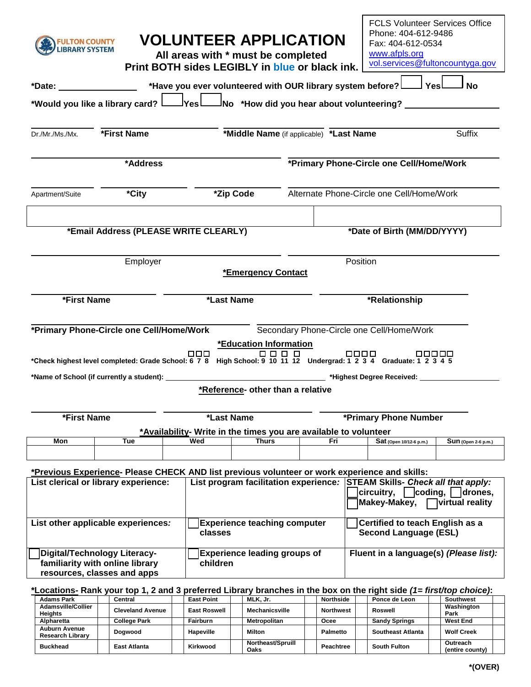| <b>FULTON COUNTY</b><br><b>IBRARY SYSTEM</b>                                                   |                                                                                                                                       | <b>VOLUNTEER APPLICATION</b><br>All areas with * must be completed<br>Print BOTH sides LEGIBLY in blue or black ink. |                                                 |                                                                                  |                                                   |                                                                                                                                                                       |                             | <b>FCLS Volunteer Services Office</b><br>Phone: 404-612-9486<br>Fax: 404-612-0534<br>www.afpls.org<br>vol.services@fultoncountyga.gov |                     |  |  |  |
|------------------------------------------------------------------------------------------------|---------------------------------------------------------------------------------------------------------------------------------------|----------------------------------------------------------------------------------------------------------------------|-------------------------------------------------|----------------------------------------------------------------------------------|---------------------------------------------------|-----------------------------------------------------------------------------------------------------------------------------------------------------------------------|-----------------------------|---------------------------------------------------------------------------------------------------------------------------------------|---------------------|--|--|--|
| $*$ Date: $\blacksquare$                                                                       |                                                                                                                                       |                                                                                                                      |                                                 | *Have you ever volunteered with OUR library system before?L                      |                                                   |                                                                                                                                                                       |                             | l Yesl                                                                                                                                | <b>No</b>           |  |  |  |
|                                                                                                | *Would you like a library card? Lettures                                                                                              |                                                                                                                      |                                                 | $\frac{1}{2}$ No *How did you hear about volunteering? _                         |                                                   |                                                                                                                                                                       |                             |                                                                                                                                       |                     |  |  |  |
| Dr./Mr./Ms./Mx.                                                                                | *First Name                                                                                                                           |                                                                                                                      |                                                 |                                                                                  | Suffix<br>*Middle Name (if applicable) *Last Name |                                                                                                                                                                       |                             |                                                                                                                                       |                     |  |  |  |
|                                                                                                | *Address                                                                                                                              |                                                                                                                      |                                                 | *Primary Phone-Circle one Cell/Home/Work                                         |                                                   |                                                                                                                                                                       |                             |                                                                                                                                       |                     |  |  |  |
| Apartment/Suite                                                                                | *City                                                                                                                                 |                                                                                                                      | *Zip Code                                       |                                                                                  |                                                   | Alternate Phone-Circle one Cell/Home/Work                                                                                                                             |                             |                                                                                                                                       |                     |  |  |  |
|                                                                                                | *Email Address (PLEASE WRITE CLEARLY)                                                                                                 |                                                                                                                      |                                                 |                                                                                  |                                                   | *Date of Birth (MM/DD/YYYY)                                                                                                                                           |                             |                                                                                                                                       |                     |  |  |  |
|                                                                                                | Employer                                                                                                                              |                                                                                                                      |                                                 | <b>*Emergency Contact</b>                                                        |                                                   |                                                                                                                                                                       | Position                    |                                                                                                                                       |                     |  |  |  |
| *First Name                                                                                    |                                                                                                                                       |                                                                                                                      | *Last Name                                      |                                                                                  |                                                   | *Relationship                                                                                                                                                         |                             |                                                                                                                                       |                     |  |  |  |
|                                                                                                | *Primary Phone-Circle one Cell/Home/Work<br>*Check highest level completed: Grade School: 6 7 8                                       |                                                                                                                      | $\Box \Box \Box$                                | *Education Information                                                           |                                                   |                                                                                                                                                                       |                             | Secondary Phone-Circle one Cell/Home/Work<br>□□□□□<br>High School: 9 10 11 12 Undergrad: 1 2 3 4 Graduate: 1 2 3 4 5                  |                     |  |  |  |
|                                                                                                | *Name of School (if currently a student): _                                                                                           |                                                                                                                      |                                                 |                                                                                  |                                                   |                                                                                                                                                                       | *Highest Degree Received: _ |                                                                                                                                       |                     |  |  |  |
| *First Name                                                                                    |                                                                                                                                       |                                                                                                                      | *Reference- other than a relative<br>*Last Name |                                                                                  | *Primary Phone Number                             |                                                                                                                                                                       |                             |                                                                                                                                       |                     |  |  |  |
| Mon                                                                                            | Tue                                                                                                                                   |                                                                                                                      | Wed                                             | *Availability- Write in the times you are available to volunteer<br><b>Thurs</b> |                                                   | Fri                                                                                                                                                                   |                             | Sat (Open 10/12-6 p.m.)                                                                                                               | Sun (Open 2-6 p.m.) |  |  |  |
|                                                                                                |                                                                                                                                       |                                                                                                                      |                                                 |                                                                                  |                                                   |                                                                                                                                                                       |                             |                                                                                                                                       |                     |  |  |  |
|                                                                                                | *Previous Experience- Please CHECK AND list previous volunteer or work experience and skills:                                         |                                                                                                                      |                                                 |                                                                                  |                                                   |                                                                                                                                                                       |                             |                                                                                                                                       |                     |  |  |  |
| List clerical or library experience:                                                           |                                                                                                                                       |                                                                                                                      |                                                 |                                                                                  |                                                   | List program facilitation experience: STEAM Skills- Check all that apply:<br>circuitry,<br>$\vert$ coding, $\vert$ $\vert$ drones,<br>Makey-Makey,<br>virtual reality |                             |                                                                                                                                       |                     |  |  |  |
| List other applicable experiences:                                                             |                                                                                                                                       | <b>Experience teaching computer</b><br>classes                                                                       |                                                 |                                                                                  |                                                   | Certified to teach English as a<br><b>Second Language (ESL)</b>                                                                                                       |                             |                                                                                                                                       |                     |  |  |  |
| Digital/Technology Literacy-<br>familiarity with online library<br>resources, classes and apps |                                                                                                                                       |                                                                                                                      | <b>Experience leading groups of</b><br>children |                                                                                  |                                                   |                                                                                                                                                                       |                             | Fluent in a language(s) (Please list):                                                                                                |                     |  |  |  |
| <b>Adams Park</b>                                                                              | *Locations- Rank your top 1, 2 and 3 preferred Library branches in the box on the right side (1= first/top choice):<br><b>Central</b> |                                                                                                                      | <b>East Point</b>                               | MLK, Jr.                                                                         |                                                   | Northside                                                                                                                                                             |                             | Ponce de Leon                                                                                                                         | <b>Southwest</b>    |  |  |  |

| <b>Adams Park</b>                        | Central                 | <b>East Point</b>   | MLK. Jr. |                       | <b>Northside</b> | Ponce de Leon            | Southwest                   |  |
|------------------------------------------|-------------------------|---------------------|----------|-----------------------|------------------|--------------------------|-----------------------------|--|
| Adamsville/Collier<br><b>Heights</b>     | <b>Cleveland Avenue</b> | <b>East Roswell</b> |          | <b>Mechanicsville</b> | <b>Northwest</b> | Roswell                  | Washington<br>Park          |  |
| <b>Alpharetta</b>                        | College Park            | <b>Fairburn</b>     |          | <b>Metropolitan</b>   | Ocee             | <b>Sandy Springs</b>     | <b>West End</b>             |  |
| Auburn Avenue<br><b>Research Library</b> | Doawood                 | <b>Hapeville</b>    | Milton   |                       | <b>Palmetto</b>  | <b>Southeast Atlanta</b> | <b>Wolf Creek</b>           |  |
| <b>Buckhead</b>                          | <b>East Atlanta</b>     | Kirkwood            | Oaks     | Northeast/Spruill     | <b>Peachtree</b> | <b>South Fulton</b>      | Outreach<br>(entire county) |  |